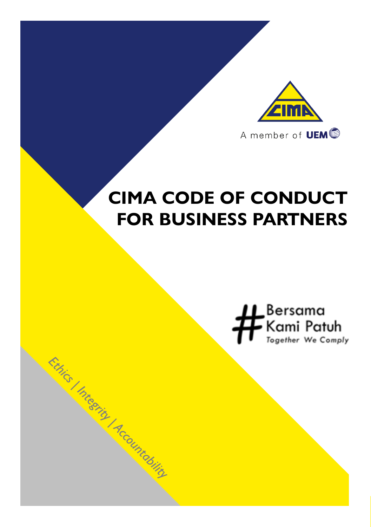

## **CIMA CODE OF CONDUCT FOR BUSINESS PARTNERS**

Ethics I Integrity Accountability

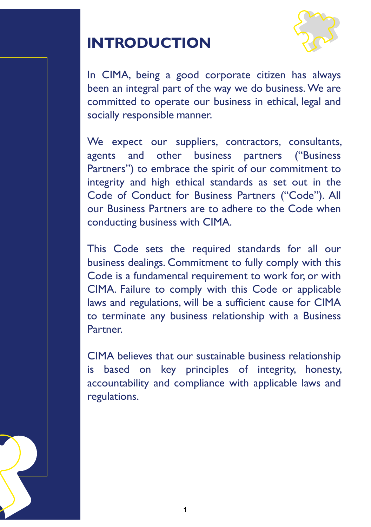#### **INTRODUCTION**



In CIMA, being a good corporate citizen has always been an integral part of the way we do business. We are committed to operate our business in ethical, legal and socially responsible manner.

We expect our suppliers, contractors, consultants, agents and other business partners ("Business Partners") to embrace the spirit of our commitment to integrity and high ethical standards as set out in the Code of Conduct for Business Partners ("Code"). All our Business Partners are to adhere to the Code when conducting business with CIMA.

This Code sets the required standards for all our business dealings. Commitment to fully comply with this Code is a fundamental requirement to work for, or with CIMA. Failure to comply with this Code or applicable laws and regulations, will be a sufficient cause for CIMA to terminate any business relationship with a Business Partner.

CIMA believes that our sustainable business relationship is based on key principles of integrity, honesty, accountability and compliance with applicable laws and regulations.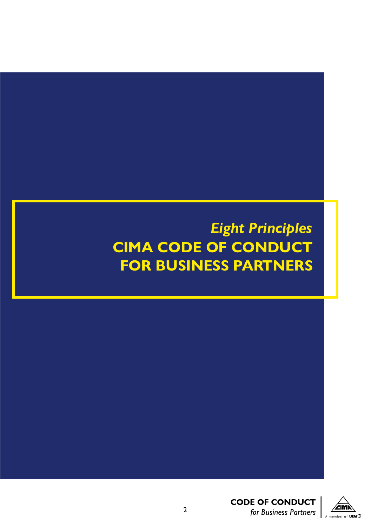## *Eight Principles* **CIMA CODE OF CONDUCT FOR BUSINESS PARTNERS**



**CODE OF CONDUCT**  *for Business Partners* 2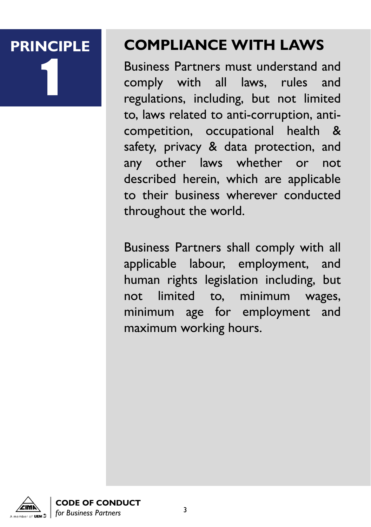# 1

## **PRINCIPLE COMPLIANCE WITH LAWS**

Business Partners must understand and comply with all laws, rules and regulations, including, but not limited to, laws related to anti-corruption, anticompetition, occupational health & safety, privacy & data protection, and any other laws whether or not described herein, which are applicable to their business wherever conducted throughout the world.

Business Partners shall comply with all applicable labour, employment, and human rights legislation including, but not limited to, minimum wages, minimum age for employment and maximum working hours.



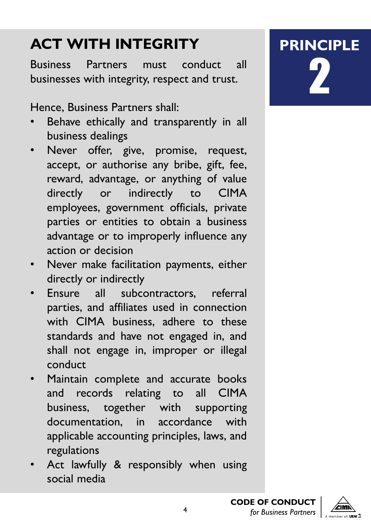## **ACT WITH INTEGRITY**

Business Partners must conduct all businesses with integrity, respect and trust.

Hence, Business Partners shall:

- Behave ethically and transparently in all business dealings
- Never offer, give, promise, request, accept, or authorise any bribe, gift, fee, reward, advantage, or anything of value directly or indirectly to CIMA employees, government officials, private parties or entities to obtain a business advantage or to improperly influence any action or decision
- Never make facilitation payments, either directly or indirectly
- Ensure all subcontractors, referral parties, and affiliates used in connection with CIMA business, adhere to these standards and have not engaged in, and shall not engage in, improper or illegal conduct
- Maintain complete and accurate books and records relating to all CIMA business, together with supporting documentation, in accordance with applicable accounting principles, laws, and regulations
- Act lawfully & responsibly when using social media

**PRINCIPLE** 2

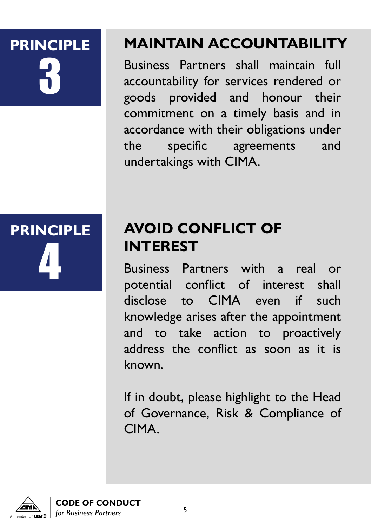## 3

## **PRINCIPLE MAINTAIN ACCOUNTABILITY**

Business Partners shall maintain full accountability for services rendered or goods provided and honour their commitment on a timely basis and in accordance with their obligations under the specific agreements and undertakings with CIMA.

**PRINCIPLE** 4

## **AVOID CONFLICT OF INTEREST**

Business Partners with a real or potential conflict of interest shall disclose to CIMA even if such knowledge arises after the appointment and to take action to proactively address the conflict as soon as it is known.

If in doubt, please highlight to the Head of Governance, Risk & Compliance of CIMA.



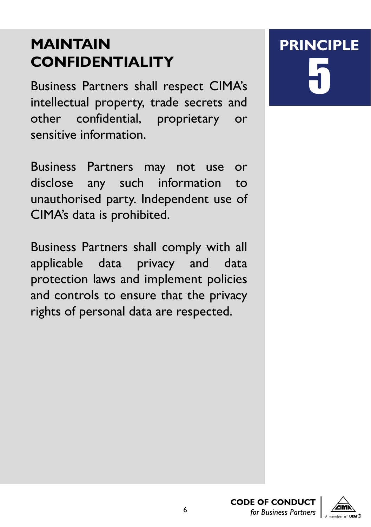## **MAINTAIN CONFIDENTIALITY**

Business Partners shall respect CIMA's intellectual property, trade secrets and other confidential, proprietary or sensitive information.

Business Partners may not use or disclose any such information to unauthorised party. Independent use of CIMA's data is prohibited.

Business Partners shall comply with all applicable data privacy and data protection laws and implement policies and controls to ensure that the privacy rights of personal data are respected.

## **PRINCIPLE** 5



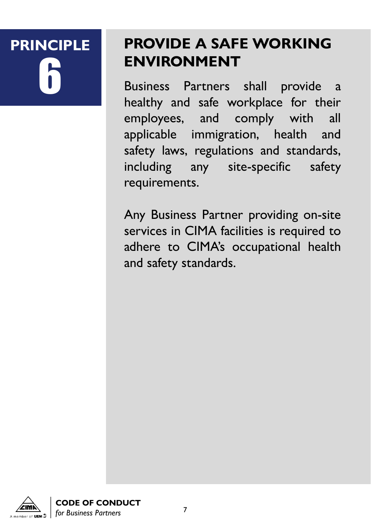## **PRINCIPLE**

## **PROVIDE A SAFE WORKING ENVIRONMENT**

6 Business Partners shall provide <sup>a</sup> healthy and safe workplace for their employees, and comply with all applicable immigration, health and safety laws, regulations and standards, including any site-specific safety requirements.

Any Business Partner providing on-site services in CIMA facilities is required to adhere to CIMA's occupational health and safety standards.



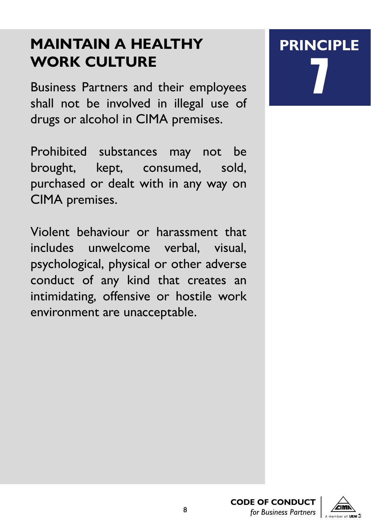### **MAINTAIN A HEALTHY WORK CULTURE**

Business Partners and their employees shall not be involved in illegal use of drugs or alcohol in CIMA premises.

Prohibited substances may not be brought, kept, consumed, sold, purchased or dealt with in any way on CIMA premises.

Violent behaviour or harassment that includes unwelcome verbal, visual, psychological, physical or other adverse conduct of any kind that creates an intimidating, offensive or hostile work environment are unacceptable.

## **PRINCIPLE** 7



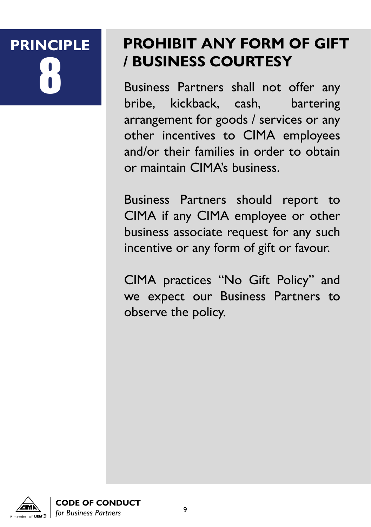## **PRINCIPLE**

### **PROHIBIT ANY FORM OF GIFT / BUSINESS COURTESY**

Business Partners shall not offer any<br>bribe, kickback, cash, bartering bribe, kickback, cash, arrangement for goods / services or any other incentives to CIMA employees and/or their families in order to obtain or maintain CIMA's business.

Business Partners should report to CIMA if any CIMA employee or other business associate request for any such incentive or any form of gift or favour.

CIMA practices "No Gift Policy" and we expect our Business Partners to observe the policy.



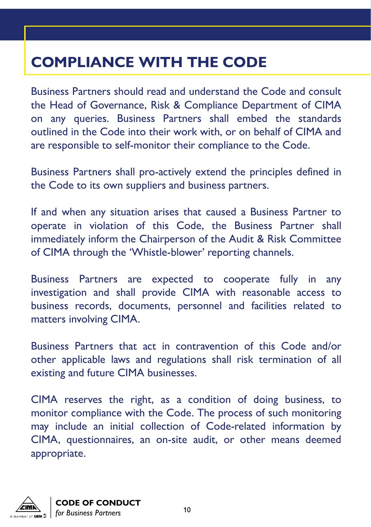## **COMPLIANCE WITH THE CODE**

Business Partners should read and understand the Code and consult the Head of Governance, Risk & Compliance Department of CIMA on any queries. Business Partners shall embed the standards outlined in the Code into their work with, or on behalf of CIMA and are responsible to self-monitor their compliance to the Code.

Business Partners shall pro-actively extend the principles defined in the Code to its own suppliers and business partners.

If and when any situation arises that caused a Business Partner to operate in violation of this Code, the Business Partner shall immediately inform the Chairperson of the Audit & Risk Committee of CIMA through the 'Whistle-blower' reporting channels.

Business Partners are expected to cooperate fully in any investigation and shall provide CIMA with reasonable access to business records, documents, personnel and facilities related to matters involving CIMA.

Business Partners that act in contravention of this Code and/or other applicable laws and regulations shall risk termination of all existing and future CIMA businesses.

CIMA reserves the right, as a condition of doing business, to monitor compliance with the Code. The process of such monitoring may include an initial collection of Code-related information by CIMA, questionnaires, an on-site audit, or other means deemed appropriate.